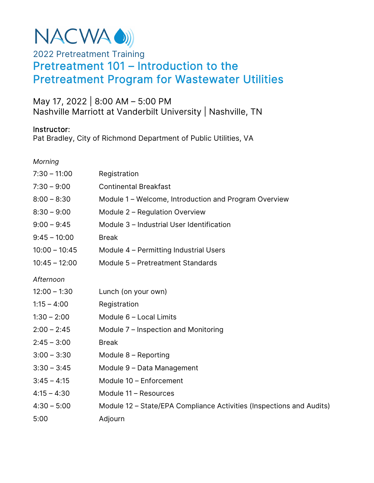

# 2022 Pretreatment Training Pretreatment 101 – Introduction to the Pretreatment Program for Wastewater Utilities

## May 17, 2022 | 8:00 AM – 5:00 PM Nashville Marriott at Vanderbilt University | Nashville, TN

#### Instructor:

Pat Bradley, City of Richmond Department of Public Utilities, VA

*Morning* 

| $7:30 - 11:00$  | Registration                                                         |
|-----------------|----------------------------------------------------------------------|
| $7:30 - 9:00$   | <b>Continental Breakfast</b>                                         |
| $8:00 - 8:30$   | Module 1 – Welcome, Introduction and Program Overview                |
| $8:30 - 9:00$   | Module 2 - Regulation Overview                                       |
| $9:00 - 9:45$   | Module 3 - Industrial User Identification                            |
| $9:45 - 10:00$  | <b>Break</b>                                                         |
| $10:00 - 10:45$ | Module 4 – Permitting Industrial Users                               |
| $10:45 - 12:00$ | Module 5 - Pretreatment Standards                                    |
| Afternoon       |                                                                      |
| $12:00 - 1:30$  | Lunch (on your own)                                                  |
| $1:15 - 4:00$   | Registration                                                         |
| $1:30 - 2:00$   | Module 6 - Local Limits                                              |
| $2:00 - 2:45$   | Module 7 – Inspection and Monitoring                                 |
| $2:45 - 3:00$   | <b>Break</b>                                                         |
| $3:00 - 3:30$   | Module 8 - Reporting                                                 |
| $3:30 - 3:45$   | Module 9 - Data Management                                           |
| $3:45 - 4:15$   | Module 10 - Enforcement                                              |
| $4:15 - 4:30$   | Module 11 - Resources                                                |
| $4:30 - 5:00$   | Module 12 – State/EPA Compliance Activities (Inspections and Audits) |
| 5:00            | Adjourn                                                              |